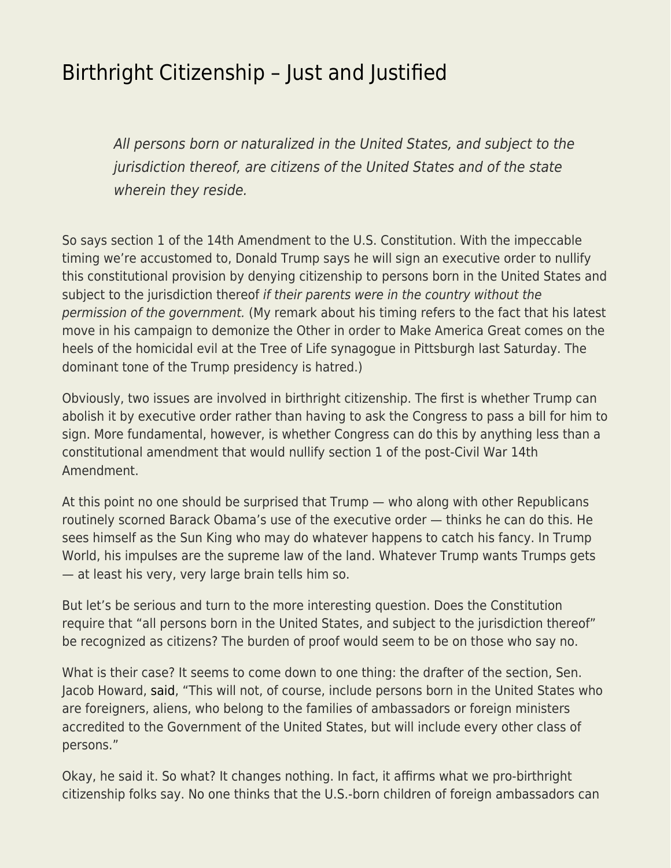## [Birthright Citizenship – Just and Justified](https://everything-voluntary.com/birthright-citizenship-just-and-justified)

All persons born or naturalized in the United States, and subject to the jurisdiction thereof, are citizens of the United States and of the state wherein they reside.

So says section 1 of the 14th Amendment to the U.S. Constitution. With the impeccable timing we're accustomed to, Donald Trump says he will sign an executive order to nullify this constitutional provision by denying citizenship to persons born in the United States and subject to the jurisdiction thereof if their parents were in the country without the permission of the government. (My remark about his timing refers to the fact that his latest move in his campaign to demonize the Other in order to Make America Great comes on the heels of the homicidal evil at the Tree of Life synagogue in Pittsburgh last Saturday. The dominant tone of the Trump presidency is hatred.)

Obviously, two issues are involved in birthright citizenship. The first is whether Trump can abolish it by executive order rather than having to ask the Congress to pass a bill for him to sign. More fundamental, however, is whether Congress can do this by anything less than a constitutional amendment that would nullify section 1 of the post-Civil War 14th Amendment.

At this point no one should be surprised that Trump — who along with other Republicans routinely scorned Barack Obama's use of the executive order — thinks he can do this. He sees himself as the Sun King who may do whatever happens to catch his fancy. In Trump World, his impulses are the supreme law of the land. Whatever Trump wants Trumps gets — at least his very, very large brain tells him so.

But let's be serious and turn to the more interesting question. Does the Constitution require that "all persons born in the United States, and subject to the jurisdiction thereof" be recognized as citizens? The burden of proof would seem to be on those who say no.

What is their case? It seems to come down to one thing: the drafter of the section, Sen. Jacob Howard, [said,](https://steveking.house.gov/media-center/columns/ending-birthright-citizenship-does-not-require-a-constitutional-amendment?fbclid=IwAR137dLoB-jyAE7sZ5xdv4mTAm7Jshr_uGtoBTJ8fa8OMgFdGPbqz47m00g) "This will not, of course, include persons born in the United States who are foreigners, aliens, who belong to the families of ambassadors or foreign ministers accredited to the Government of the United States, but will include every other class of persons."

Okay, he said it. So what? It changes nothing. In fact, it affirms what we pro-birthright citizenship folks say. No one thinks that the U.S.-born children of foreign ambassadors can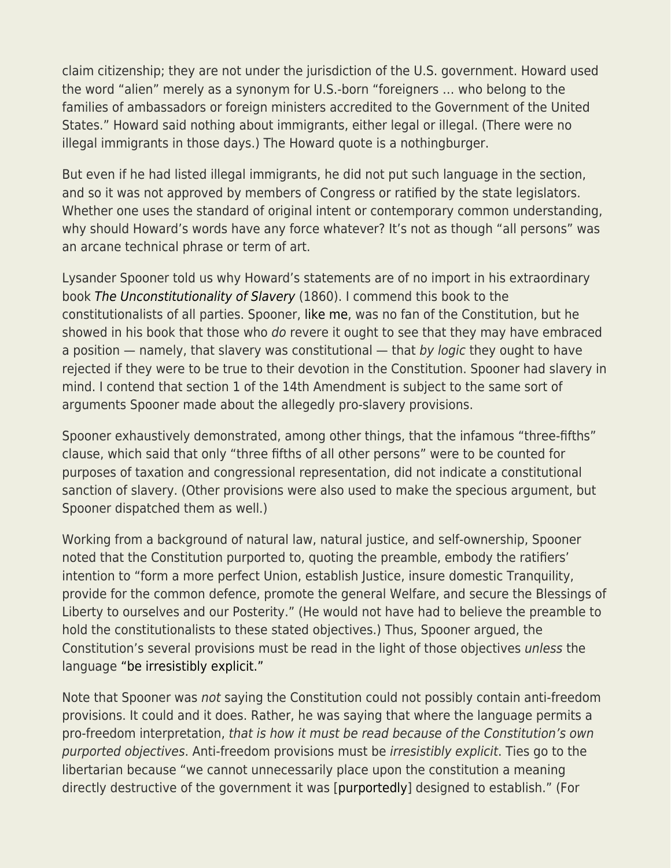claim citizenship; they are not under the jurisdiction of the U.S. government. Howard used the word "alien" merely as a synonym for U.S.-born "foreigners … who belong to the families of ambassadors or foreign ministers accredited to the Government of the United States." Howard said nothing about immigrants, either legal or illegal. (There were no illegal immigrants in those days.) The Howard quote is a nothingburger.

But even if he had listed illegal immigrants, he did not put such language in the section, and so it was not approved by members of Congress or ratified by the state legislators. Whether one uses the standard of original intent or contemporary common understanding, why should Howard's words have any force whatever? It's not as though "all persons" was an arcane technical phrase or term of art.

Lysander Spooner told us why Howard's statements are of no import in his extraordinary book [The Unconstitutionality of Slavery](http://oll.libertyfund.org/titles/spooner-the-unconstitutionality-of-slavery-1860) (1860). I commend this book to the constitutionalists of all parties. Spooner, [like me,](https://www.amazon.com/Americas-Counter-Revolution-Constitution-Sheldon-Richman/dp/0692687912/ref=sr_1_6_twi_pap_2?ie=UTF8&qid=1541012104&sr=8-6&keywords=american%27s+counter-revolution) was no fan of the Constitution, but he showed in his book that those who do revere it ought to see that they may have embraced a position  $-$  namely, that slavery was constitutional  $-$  that by logic they ought to have rejected if they were to be true to their devotion in the Constitution. Spooner had slavery in mind. I contend that section 1 of the 14th Amendment is subject to the same sort of arguments Spooner made about the allegedly pro-slavery provisions.

Spooner exhaustively demonstrated, among other things, that the infamous "three-fifths" clause, which said that only "three fifths of all other persons" were to be counted for purposes of taxation and congressional representation, did not indicate a constitutional sanction of slavery. (Other provisions were also used to make the specious argument, but Spooner dispatched them as well.)

Working from a background of natural law, natural justice, and self-ownership, Spooner noted that the Constitution purported to, quoting the preamble, embody the ratifiers' intention to "form a more perfect Union, establish Justice, insure domestic Tranquility, provide for the common defence, promote the general Welfare, and secure the Blessings of Liberty to ourselves and our Posterity." (He would not have had to believe the preamble to hold the constitutionalists to these stated objectives.) Thus, Spooner argued, the Constitution's several provisions must be read in the light of those objectives unless the language ["be irresistibly explicit."](http://oll.libertyfund.org/titles/2206#Spooner_1487_272)

Note that Spooner was not saying the Constitution could not possibly contain anti-freedom provisions. It could and it does. Rather, he was saying that where the language permits a pro-freedom interpretation, that is how it must be read because of the Constitution's own purported objectives. Anti-freedom provisions must be irresistibly explicit. Ties go to the libertarian because "we cannot unnecessarily place upon the constitution a meaning directly destructive of the government it was [[purportedly\]](https://www.amazon.com/Americas-Counter-Revolution-Constitution-Sheldon-Richman/dp/0692687912/ref=sr_1_6_twi_pap_2?ie=UTF8&qid=1541012104&sr=8-6&keywords=american%27s+counter-revolution) designed to establish." (For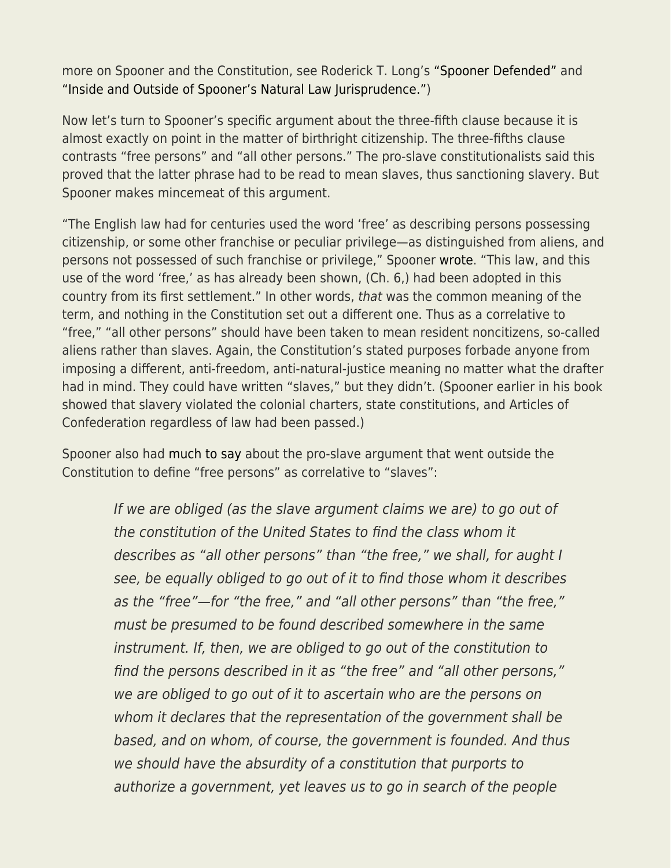more on Spooner and the Constitution, see Roderick T. Long's ["Spooner Defended"](http://oll.libertyfund.org/pages/lm-spooner) and ["Inside and Outside of Spooner's Natural Law Jurisprudence."](http://praxeology.net/Spooner-Krakow.doc))

Now let's turn to Spooner's specific argument about the three-fifth clause because it is almost exactly on point in the matter of birthright citizenship. The three-fifths clause contrasts "free persons" and "all other persons." The pro-slave constitutionalists said this proved that the latter phrase had to be read to mean slaves, thus sanctioning slavery. But Spooner makes mincemeat of this argument.

"The English law had for centuries used the word 'free' as describing persons possessing citizenship, or some other franchise or peculiar privilege—as distinguished from aliens, and persons not possessed of such franchise or privilege," Spooner [wrote.](http://oll.libertyfund.org/titles/2206#Spooner_1487_261) "This law, and this use of the word 'free,' as has already been shown, (Ch. 6,) had been adopted in this country from its first settlement." In other words, that was the common meaning of the term, and nothing in the Constitution set out a different one. Thus as a correlative to "free," "all other persons" should have been taken to mean resident noncitizens, so-called aliens rather than slaves. Again, the Constitution's stated purposes forbade anyone from imposing a different, anti-freedom, anti-natural-justice meaning no matter what the drafter had in mind. They could have written "slaves," but they didn't. (Spooner earlier in his book showed that slavery violated the colonial charters, state constitutions, and Articles of Confederation regardless of law had been passed.)

Spooner also had [much to say](http://oll.libertyfund.org/titles/2206#Spooner_1487_266) about the pro-slave argument that went outside the Constitution to define "free persons" as correlative to "slaves":

> If we are obliged (as the slave argument claims we are) to go out of the constitution of the United States to find the class whom it describes as "all other persons" than "the free," we shall, for aught I see, be equally obliged to go out of it to find those whom it describes as the "free"—for "the free," and "all other persons" than "the free," must be presumed to be found described somewhere in the same instrument. If, then, we are obliged to go out of the constitution to find the persons described in it as "the free" and "all other persons," we are obliged to go out of it to ascertain who are the persons on whom it declares that the representation of the government shall be based, and on whom, of course, the government is founded. And thus we should have the absurdity of a constitution that purports to authorize a government, yet leaves us to go in search of the people